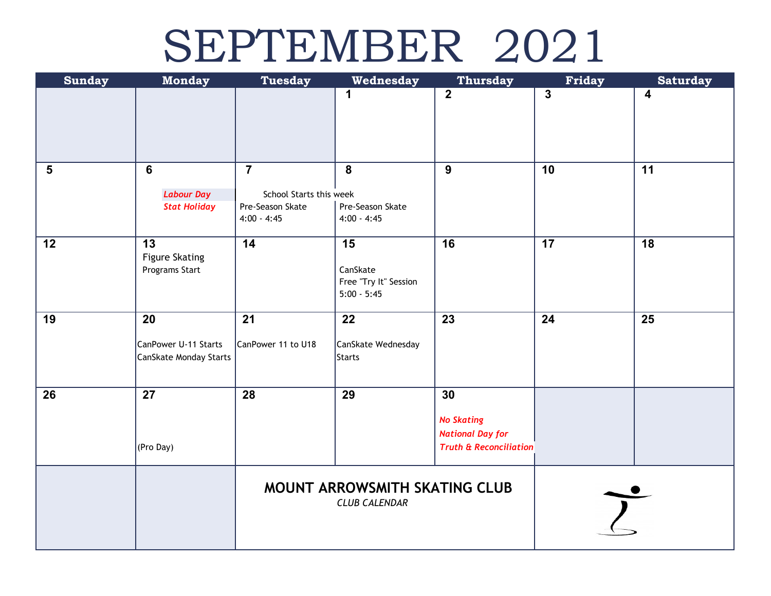### SEPTEMBER 2021

| <b>Sunday</b>           | <b>Monday</b>                                        | <b>Tuesday</b>                                                                 | Wednesday                                                | <b>Thursday</b>                                                                         | Friday       | <b>Saturday</b>         |
|-------------------------|------------------------------------------------------|--------------------------------------------------------------------------------|----------------------------------------------------------|-----------------------------------------------------------------------------------------|--------------|-------------------------|
|                         |                                                      |                                                                                | 1                                                        | $\mathbf{2}$                                                                            | $\mathbf{3}$ | $\overline{\mathbf{4}}$ |
| $\overline{\mathbf{5}}$ | 6<br><b>Labour Day</b><br><b>Stat Holiday</b>        | $\overline{7}$<br>School Starts this week<br>Pre-Season Skate<br>$4:00 - 4:45$ | 8<br>Pre-Season Skate<br>$4:00 - 4:45$                   | $\overline{9}$                                                                          | 10           | 11                      |
| 12                      | 13<br><b>Figure Skating</b><br>Programs Start        | 14                                                                             | 15<br>CanSkate<br>Free "Try It" Session<br>$5:00 - 5:45$ | 16                                                                                      | 17           | 18                      |
| 19                      | 20<br>CanPower U-11 Starts<br>CanSkate Monday Starts | 21<br>CanPower 11 to U18                                                       | 22<br>CanSkate Wednesday<br>Starts                       | 23                                                                                      | 24           | 25                      |
| 26                      | 27<br>(Pro Day)                                      | 28                                                                             | 29                                                       | 30<br><b>No Skating</b><br><b>National Day for</b><br><b>Truth &amp; Reconciliation</b> |              |                         |
|                         |                                                      | MOUNT ARROWSMITH SKATING CLUB<br><b>CLUB CALENDAR</b>                          |                                                          |                                                                                         |              |                         |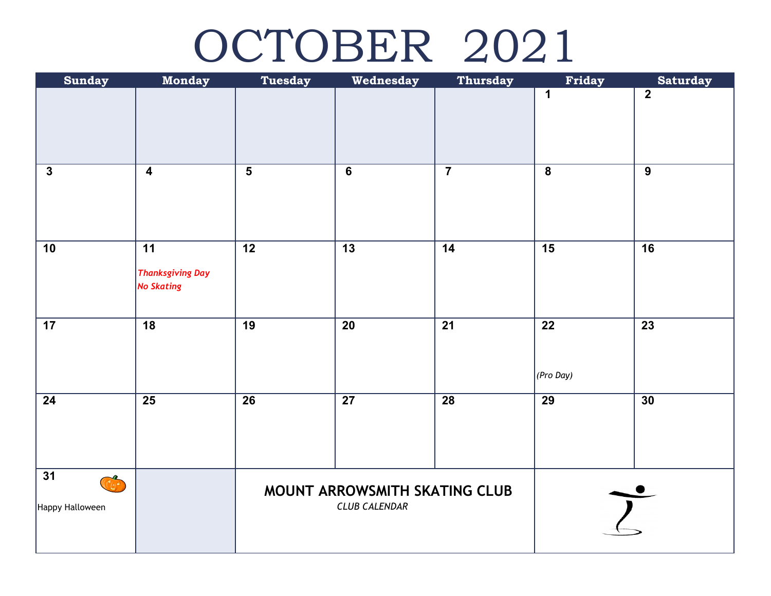# OCTOBER 2021

| <b>Sunday</b>                                                   | <b>Monday</b>                                                   | <b>Tuesday</b>                                        | Wednesday       | <b>Thursday</b> | Friday                       | <b>Saturday</b> |
|-----------------------------------------------------------------|-----------------------------------------------------------------|-------------------------------------------------------|-----------------|-----------------|------------------------------|-----------------|
|                                                                 |                                                                 |                                                       |                 |                 | $\mathbf 1$                  | $\overline{2}$  |
|                                                                 |                                                                 |                                                       |                 |                 |                              |                 |
| $\mathbf{3}$                                                    | $\overline{\mathbf{4}}$                                         | $5\phantom{1}$                                        | $6\phantom{1}$  | $\overline{7}$  | $\boldsymbol{8}$             | 9               |
| 10                                                              | $\overline{11}$<br><b>Thanksgiving Day</b><br><b>No Skating</b> | $\overline{12}$                                       | $\overline{13}$ | $\overline{14}$ | 15                           | $\overline{16}$ |
| 17                                                              | $\overline{18}$                                                 | $\overline{19}$                                       | 20              | $\overline{21}$ | $\overline{22}$<br>(Pro Day) | $\overline{23}$ |
| 24                                                              | $\overline{25}$                                                 | 26                                                    | 27              | <b>28</b>       | $\overline{29}$              | 30              |
| $\overline{31}$<br>$\overline{\binom{3}{2}}$<br>Happy Halloween |                                                                 | MOUNT ARROWSMITH SKATING CLUB<br><b>CLUB CALENDAR</b> |                 |                 |                              |                 |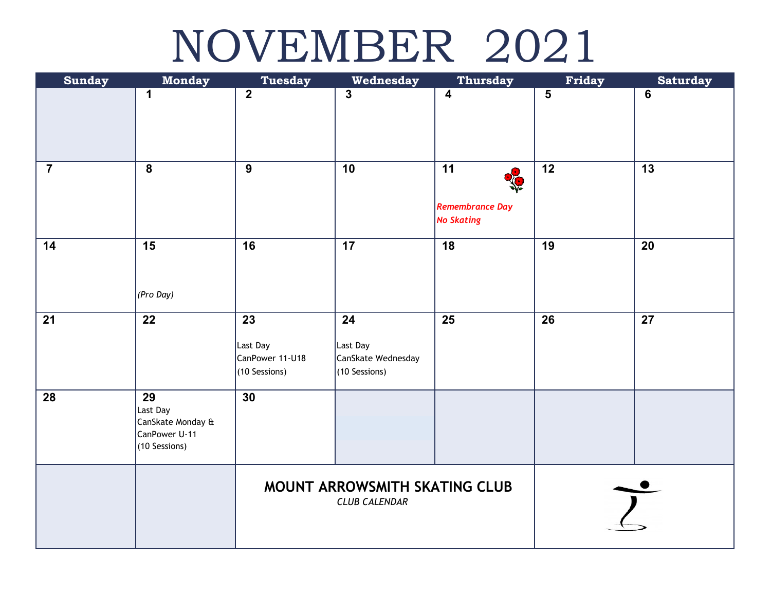### NOVEMBER 2021

| <b>Sunday</b>  | <b>Monday</b>                      | <b>Tuesday</b>                | Wednesday                             | <b>Thursday</b>                             | Friday          | <b>Saturday</b> |
|----------------|------------------------------------|-------------------------------|---------------------------------------|---------------------------------------------|-----------------|-----------------|
|                | 1                                  | $\overline{2}$                | $\overline{3}$                        | $\overline{\mathbf{4}}$                     | $5\phantom{1}$  | $6\phantom{a}$  |
|                |                                    |                               |                                       |                                             |                 |                 |
|                |                                    |                               |                                       |                                             |                 |                 |
|                |                                    |                               |                                       |                                             |                 |                 |
| $\overline{7}$ | $\overline{\mathbf{8}}$            | $\overline{9}$                | 10                                    | $\overline{11}$<br>ECP                      | $\overline{12}$ | $\overline{13}$ |
|                |                                    |                               |                                       |                                             |                 |                 |
|                |                                    |                               |                                       | <b>Remembrance Day</b><br><b>No Skating</b> |                 |                 |
|                |                                    |                               |                                       |                                             |                 |                 |
| 14             | $\overline{15}$                    | $\overline{16}$               | $\overline{17}$                       | $\overline{18}$                             | $\overline{19}$ | 20              |
|                |                                    |                               |                                       |                                             |                 |                 |
|                | (Pro Day)                          |                               |                                       |                                             |                 |                 |
| 21             | $\overline{22}$                    | 23                            | 24                                    | 25                                          | 26              | 27              |
|                |                                    |                               |                                       |                                             |                 |                 |
|                |                                    | Last Day<br>CanPower 11-U18   | Last Day                              |                                             |                 |                 |
|                |                                    | (10 Sessions)                 | CanSkate Wednesday<br>$(10$ Sessions) |                                             |                 |                 |
| 28             | $\overline{29}$                    | 30                            |                                       |                                             |                 |                 |
|                | Last Day                           |                               |                                       |                                             |                 |                 |
|                | CanSkate Monday &<br>CanPower U-11 |                               |                                       |                                             |                 |                 |
|                | (10 Sessions)                      |                               |                                       |                                             |                 |                 |
|                |                                    |                               |                                       |                                             |                 |                 |
|                |                                    | MOUNT ARROWSMITH SKATING CLUB |                                       |                                             |                 |                 |
|                |                                    | <b>CLUB CALENDAR</b>          |                                       |                                             |                 |                 |
|                |                                    |                               |                                       |                                             |                 |                 |
|                |                                    |                               |                                       |                                             |                 |                 |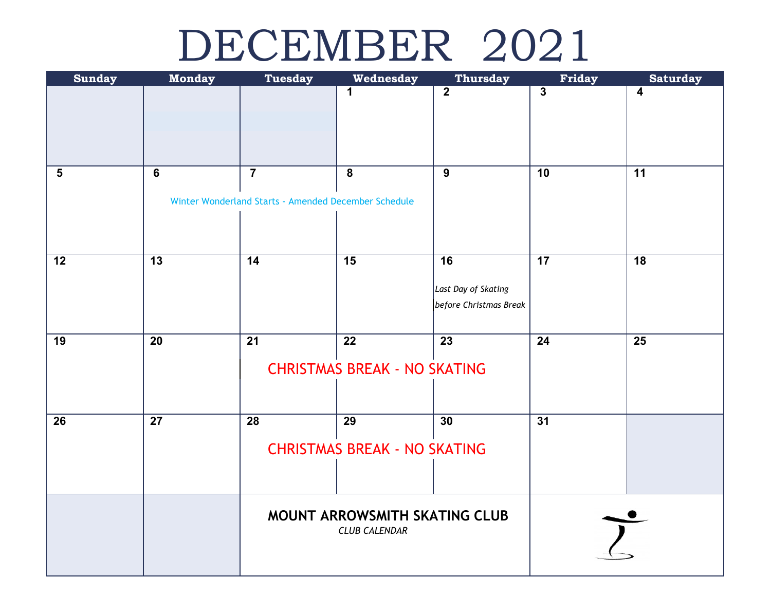#### DECEMBER 2021

| <b>Sunday</b> | <b>Monday</b>  | <b>Tuesday</b>                                                         | Wednesday                                             | Thursday                                                         | Friday                  | <b>Saturday</b>         |
|---------------|----------------|------------------------------------------------------------------------|-------------------------------------------------------|------------------------------------------------------------------|-------------------------|-------------------------|
|               |                |                                                                        | 1                                                     | $\overline{2}$                                                   | $\overline{\mathbf{3}}$ | $\overline{\mathbf{4}}$ |
| $\sqrt{5}$    | $6\phantom{1}$ | $\overline{7}$<br>Winter Wonderland Starts - Amended December Schedule | 8                                                     | $\overline{9}$                                                   | $\overline{10}$         | $\overline{11}$         |
| 12            | 13             | $\overline{14}$                                                        | 15                                                    | $\overline{16}$<br>Last Day of Skating<br>before Christmas Break | $\overline{17}$         | 18                      |
| 19            | 20             | $\overline{21}$                                                        | 22<br><b>CHRISTMAS BREAK - NO SKATING</b>             | $\overline{23}$                                                  | 24                      | $\overline{25}$         |
| 26            | 27             | 28                                                                     | 29<br><b>CHRISTMAS BREAK - NO SKATING</b>             | 30                                                               | 31                      |                         |
|               |                |                                                                        | MOUNT ARROWSMITH SKATING CLUB<br><b>CLUB CALENDAR</b> |                                                                  |                         |                         |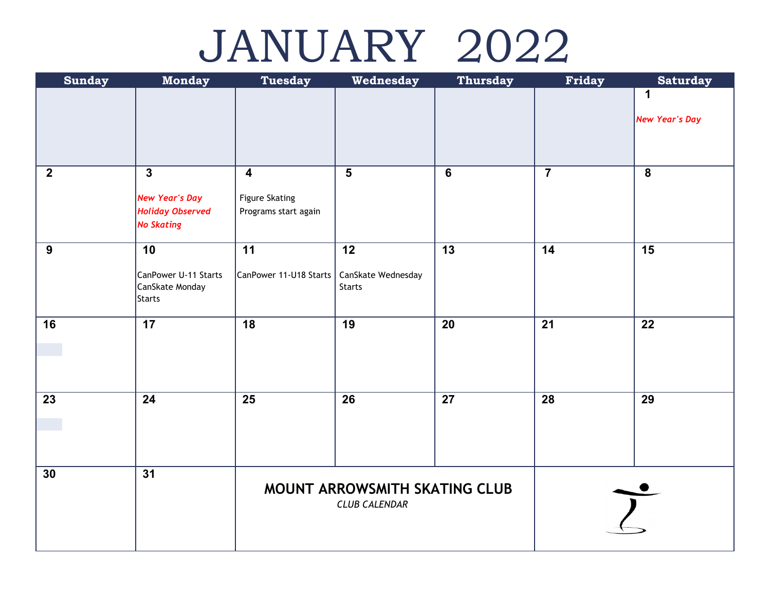## JANUARY 2022

| <b>Sunday</b>    | <b>Monday</b>             | Tuesday                 | Wednesday                     | <b>Thursday</b> | Friday          | <b>Saturday</b>         |  |
|------------------|---------------------------|-------------------------|-------------------------------|-----------------|-----------------|-------------------------|--|
|                  |                           |                         |                               |                 |                 | 1                       |  |
|                  |                           |                         |                               |                 |                 | <b>New Year's Day</b>   |  |
|                  |                           |                         |                               |                 |                 |                         |  |
| $\boldsymbol{2}$ | $\overline{\mathbf{3}}$   | $\overline{\mathbf{4}}$ | $5\phantom{1}$                | $\overline{6}$  | $\overline{7}$  | $\overline{\mathbf{8}}$ |  |
|                  | <b>New Year's Day</b>     | <b>Figure Skating</b>   |                               |                 |                 |                         |  |
|                  | <b>Holiday Observed</b>   | Programs start again    |                               |                 |                 |                         |  |
|                  | <b>No Skating</b>         |                         |                               |                 |                 |                         |  |
| 9                | 10                        | $\overline{11}$         | $\overline{12}$               | $\overline{13}$ | $\overline{14}$ | $\overline{15}$         |  |
|                  | CanPower U-11 Starts      | CanPower 11-U18 Starts  | CanSkate Wednesday            |                 |                 |                         |  |
|                  | CanSkate Monday<br>Starts |                         | <b>Starts</b>                 |                 |                 |                         |  |
|                  |                           |                         |                               |                 |                 |                         |  |
| 16               | 17                        | 18                      | 19                            | 20              | 21              | 22                      |  |
|                  |                           |                         |                               |                 |                 |                         |  |
|                  |                           |                         |                               |                 |                 |                         |  |
|                  |                           |                         |                               |                 |                 |                         |  |
| $\overline{23}$  | $\overline{24}$           | $\overline{25}$         | $\overline{26}$               | 27              | $\overline{28}$ | $\overline{29}$         |  |
|                  |                           |                         |                               |                 |                 |                         |  |
|                  |                           |                         |                               |                 |                 |                         |  |
| 30               | $\overline{31}$           |                         |                               |                 |                 |                         |  |
|                  |                           |                         | MOUNT ARROWSMITH SKATING CLUB |                 |                 |                         |  |
|                  |                           | <b>CLUB CALENDAR</b>    |                               |                 |                 |                         |  |
|                  |                           |                         |                               |                 |                 |                         |  |
|                  |                           |                         |                               |                 |                 |                         |  |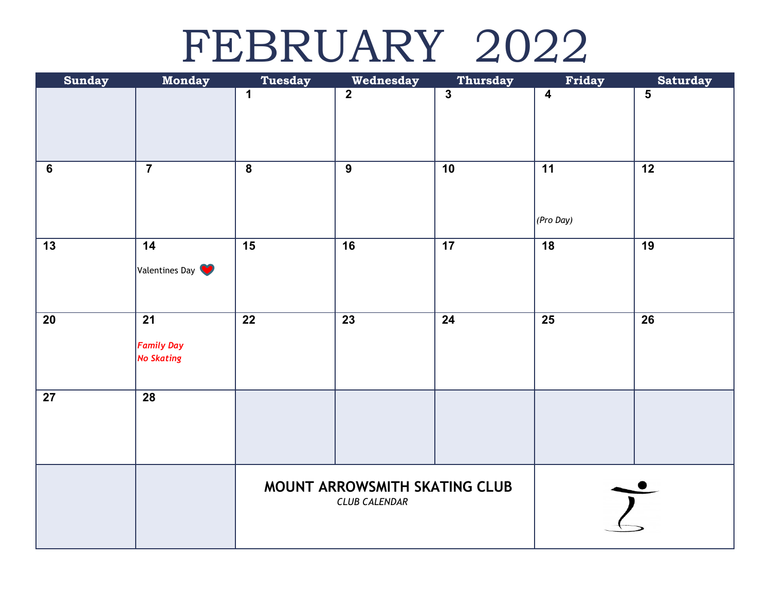#### FEBRUARY 2022

| <b>Sunday</b>   | <b>Monday</b>                                             | <b>Tuesday</b>                                        | Wednesday       | <b>Thursday</b>         | Friday                  | <b>Saturday</b>         |
|-----------------|-----------------------------------------------------------|-------------------------------------------------------|-----------------|-------------------------|-------------------------|-------------------------|
|                 |                                                           | 1                                                     | $\overline{2}$  | $\overline{\mathbf{3}}$ | $\overline{\mathbf{4}}$ | $\overline{\mathbf{5}}$ |
| $\bf 6$         | $\overline{7}$                                            | $\overline{8}$                                        | $\overline{9}$  | $\overline{10}$         | 11<br>$ $ (Pro Day)     | $\overline{12}$         |
| $\overline{13}$ | 14<br>Valentines Day                                      | $\overline{15}$                                       | $\overline{16}$ | $\overline{17}$         | $\overline{18}$         | $\overline{19}$         |
| 20              | $\overline{21}$<br><b>Family Day</b><br><b>No Skating</b> | $\overline{22}$                                       | $\overline{23}$ | $\overline{24}$         | $\overline{25}$         | $\overline{26}$         |
| $\overline{27}$ | $\overline{28}$                                           |                                                       |                 |                         |                         |                         |
|                 |                                                           | MOUNT ARROWSMITH SKATING CLUB<br><b>CLUB CALENDAR</b> |                 |                         |                         |                         |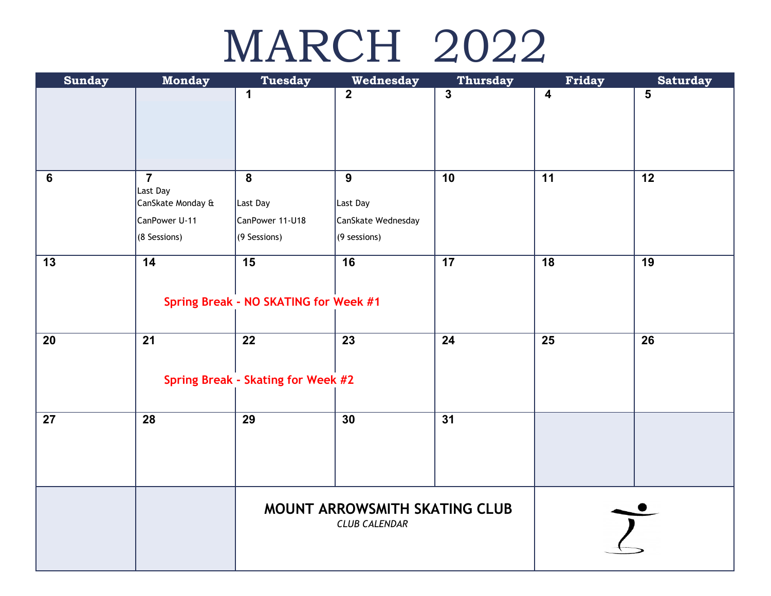# MARCH 2022

| <b>Sunday</b> | <b>Monday</b>     | <b>Tuesday</b>                        | Wednesday            | <b>Thursday</b> | Friday                  | <b>Saturday</b> |
|---------------|-------------------|---------------------------------------|----------------------|-----------------|-------------------------|-----------------|
|               |                   | 1                                     | $\mathbf{2}$         | 3               | $\overline{\mathbf{4}}$ | 5               |
|               |                   |                                       |                      |                 |                         |                 |
|               |                   |                                       |                      |                 |                         |                 |
|               |                   |                                       |                      |                 |                         |                 |
| $\bf 6$       | $\overline{7}$    | $\boldsymbol{8}$                      | $\boldsymbol{9}$     | $\overline{10}$ | 11                      | $\overline{12}$ |
|               | Last Day          |                                       |                      |                 |                         |                 |
|               | CanSkate Monday & | Last Day                              | Last Day             |                 |                         |                 |
|               | CanPower U-11     | CanPower 11-U18                       | CanSkate Wednesday   |                 |                         |                 |
|               | (8 Sessions)      | (9 Sessions)                          | $(9$ sessions)       |                 |                         |                 |
| 13            | 14                | $\overline{15}$                       | $\overline{16}$      | 17              | 18                      | 19              |
|               |                   |                                       |                      |                 |                         |                 |
|               |                   | Spring Break - NO SKATING for Week #1 |                      |                 |                         |                 |
|               |                   |                                       |                      |                 |                         |                 |
|               |                   | $\overline{22}$                       |                      |                 |                         |                 |
| 20            | $\overline{21}$   |                                       | 23                   | 24              | $\overline{25}$         | 26              |
|               |                   |                                       |                      |                 |                         |                 |
|               |                   | Spring Break - Skating for Week #2    |                      |                 |                         |                 |
|               |                   |                                       |                      |                 |                         |                 |
| 27            | 28                | 29                                    | 30                   | 31              |                         |                 |
|               |                   |                                       |                      |                 |                         |                 |
|               |                   |                                       |                      |                 |                         |                 |
|               |                   |                                       |                      |                 |                         |                 |
|               |                   |                                       |                      |                 |                         |                 |
|               |                   | MOUNT ARROWSMITH SKATING CLUB         |                      |                 |                         |                 |
|               |                   |                                       | <b>CLUB CALENDAR</b> |                 |                         |                 |
|               |                   |                                       |                      |                 |                         |                 |
|               |                   |                                       |                      |                 |                         |                 |